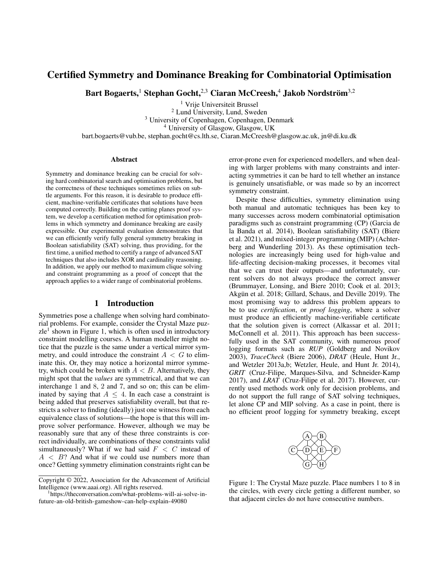# Certified Symmetry and Dominance Breaking for Combinatorial Optimisation

Bart Bogaerts, $^1$  Stephan Gocht, $^{2,3}$  Ciaran McCreesh, $^4$  Jakob Nordström $^{3,2}$ 

<sup>1</sup> Vrije Universiteit Brussel <sup>2</sup> Lund University, Lund, Sweden <sup>3</sup> University of Copenhagen, Copenhagen, Denmark <sup>4</sup> University of Glasgow, Glasgow, UK bart.bogaerts@vub.be, stephan.gocht@cs.lth.se, Ciaran.McCreesh@glasgow.ac.uk, jn@di.ku.dk

#### Abstract

Symmetry and dominance breaking can be crucial for solving hard combinatorial search and optimisation problems, but the correctness of these techniques sometimes relies on subtle arguments. For this reason, it is desirable to produce efficient, machine-verifiable certificates that solutions have been computed correctly. Building on the cutting planes proof system, we develop a certification method for optimisation problems in which symmetry and dominance breaking are easily expressible. Our experimental evaluation demonstrates that we can efficiently verify fully general symmetry breaking in Boolean satisfiability (SAT) solving, thus providing, for the first time, a unified method to certify a range of advanced SAT techniques that also includes XOR and cardinality reasoning. In addition, we apply our method to maximum clique solving and constraint programming as a proof of concept that the approach applies to a wider range of combinatorial problems.

## 1 Introduction

Symmetries pose a challenge when solving hard combinatorial problems. For example, consider the Crystal Maze puzzle<sup>1</sup> shown in Figure 1, which is often used in introductory constraint modelling courses. A human modeller might notice that the puzzle is the same under a vertical mirror symmetry, and could introduce the constraint  $A < G$  to eliminate this. Or, they may notice a horizontal mirror symmetry, which could be broken with  $A < B$ . Alternatively, they might spot that the *values* are symmetrical, and that we can interchange 1 and 8, 2 and 7, and so on; this can be eliminated by saying that  $A \leq 4$ . In each case a constraint is being added that preserves satisfiability overall, but that restricts a solver to finding (ideally) just one witness from each equivalence class of solutions—the hope is that this will improve solver performance. However, although we may be reasonably sure that any of these three constraints is correct individually, are combinations of these constraints valid simultaneously? What if we had said  $F < C$  instead of  $A \leq B$ ? And what if we could use numbers more than once? Getting symmetry elimination constraints right can be error-prone even for experienced modellers, and when dealing with larger problems with many constraints and interacting symmetries it can be hard to tell whether an instance is genuinely unsatisfiable, or was made so by an incorrect symmetry constraint.

Despite these difficulties, symmetry elimination using both manual and automatic techniques has been key to many successes across modern combinatorial optimisation paradigms such as constraint programming (CP) (Garcia de la Banda et al. 2014), Boolean satisfiability (SAT) (Biere et al. 2021), and mixed-integer programming (MIP) (Achterberg and Wunderling 2013). As these optimisation technologies are increasingly being used for high-value and life-affecting decision-making processes, it becomes vital that we can trust their outputs—and unfortunately, current solvers do not always produce the correct answer (Brummayer, Lonsing, and Biere 2010; Cook et al. 2013; Akgün et al. 2018; Gillard, Schaus, and Deville 2019). The most promising way to address this problem appears to be to use *certification*, or *proof logging*, where a solver must produce an efficiently machine-verifiable certificate that the solution given is correct (Alkassar et al. 2011; McConnell et al. 2011). This approach has been successfully used in the SAT community, with numerous proof logging formats such as *RUP* (Goldberg and Novikov 2003), *TraceCheck* (Biere 2006), *DRAT* (Heule, Hunt Jr., and Wetzler 2013a,b; Wetzler, Heule, and Hunt Jr. 2014), *GRIT* (Cruz-Filipe, Marques-Silva, and Schneider-Kamp 2017), and *LRAT* (Cruz-Filipe et al. 2017). However, currently used methods work only for decision problems, and do not support the full range of SAT solving techniques, let alone CP and MIP solving. As a case in point, there is no efficient proof logging for symmetry breaking, except



Figure 1: The Crystal Maze puzzle. Place numbers 1 to 8 in the circles, with every circle getting a different number, so that adjacent circles do not have consecutive numbers.

Copyright © 2022, Association for the Advancement of Artificial Intelligence (www.aaai.org). All rights reserved.

<sup>1</sup> https://theconversation.com/what-problems-will-ai-solve-infuture-an-old-british-gameshow-can-help-explain-49080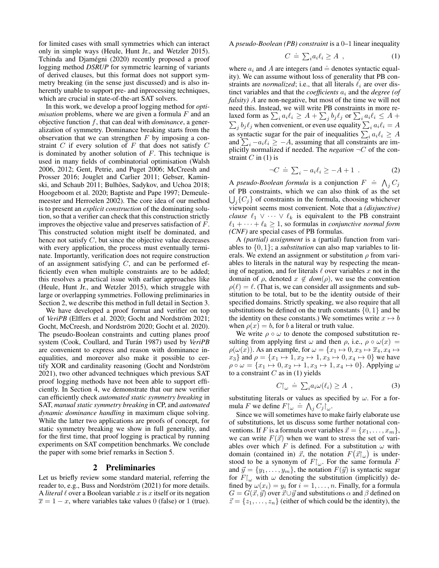for limited cases with small symmetries which can interact only in simple ways (Heule, Hunt Jr., and Wetzler 2015). Tchinda and Djamégni (2020) recently proposed a proof logging method *DSRUP* for symmetric learning of variants of derived clauses, but this format does not support symmetry breaking (in the sense just discussed) and is also inherently unable to support pre- and inprocessing techniques, which are crucial in state-of-the-art SAT solvers.

In this work, we develop a proof logging method for *optimisation* problems, where we are given a formula  $F$  and an objective function f, that can deal with *dominance*, a generalization of symmetry. Dominance breaking starts from the observation that we can strengthen  $F$  by imposing a constraint  $C$  if every solution of  $F$  that does not satisfy  $C$ is dominated by another solution of  $F$ . This technique is used in many fields of combinatorial optimisation (Walsh 2006, 2012; Gent, Petrie, and Puget 2006; McCreesh and Prosser 2016; Jouglet and Carlier 2011; Gebser, Kaminski, and Schaub 2011; Bulhões, Sadykov, and Uchoa 2018; Hoogeboom et al. 2020; Baptiste and Pape 1997; Demeulemeester and Herroelen 2002). The core idea of our method is to present an *explicit construction* of the dominating solution, so that a verifier can check that this construction strictly improves the objective value and preserves satisfaction of F. This constructed solution might itself be dominated, and hence not satisfy  $C$ , but since the objective value decreases with every application, the process must eventually terminate. Importantly, verification does not require construction of an assignment satisfying  $C$ , and can be performed efficiently even when multiple constraints are to be added; this resolves a practical issue with earlier approaches like (Heule, Hunt Jr., and Wetzler 2015), which struggle with large or overlapping symmetries. Following preliminaries in Section 2, we describe this method in full detail in Section 3.

We have developed a proof format and verifier on top of *VeriPB* (Elffers et al. 2020; Gocht and Nordström 2021; Gocht, McCreesh, and Nordström 2020; Gocht et al. 2020). The pseudo-Boolean constraints and cutting planes proof system (Cook, Coullard, and Turán 1987) used by *VeriPB* are convenient to express and reason with dominance inequalities, and moreover also make it possible to certify XOR and cardinality reasoning (Gocht and Nordström 2021), two other advanced techniques which previous SAT proof logging methods have not been able to support efficiently. In Section 4, we demonstrate that our new verifier can efficiently check *automated static symmetry breaking* in SAT, *manual static symmetry breaking* in CP, and *automated dynamic dominance handling* in maximum clique solving. While the latter two applications are proofs of concept, for static symmetry breaking we show in full generality, and for the first time, that proof logging is practical by running experiments on SAT competition benchmarks. We conclude the paper with some brief remarks in Section 5.

## 2 Preliminaries

Let us briefly review some standard material, referring the reader to, e.g., Buss and Nordström (2021) for more details. A *literal*  $\ell$  over a Boolean variable x is x itself or its negation  $\overline{x} = 1 - x$ , where variables take values 0 (false) or 1 (true).

A *pseudo-Boolean (PB) constraint* is a 0–1 linear inequality

$$
C \doteq \sum_{i} a_i \ell_i \ge A \t{,} \t(1)
$$

where  $a_i$  and A are integers (and  $\doteq$  denotes syntactic equality). We can assume without loss of generality that PB constraints are *normalized*; i.e., that all literals  $\ell_i$  are over distinct variables and that the *coefficients*  $a_i$  and the *degree (of falsity)* A are non-negative, but most of the time we will not need this. Instead, we will write PB constraints in more relaxed form as  $\sum_i a_i \ell_i \geq A + \sum_j b_j \ell_j$  or  $\sum_i a_i \ell_i \leq A +$  $\sum_j b_j \ell_j$  when convenient, or even use equality  $\sum_i a_i \ell_i = A$ as syntactic sugar for the pair of inequalities  $\sum_i a_i \ell_i \geq A$ and  $\sum_i -a_i \ell_i \geq -A$ , assuming that all constraints are implicitly normalized if needed. The *negation* ¬C of the constraint  $C$  in (1) is

$$
\neg C \doteq \sum_{i} -a_{i} \ell_{i} \ge -A+1 . \tag{2}
$$

A *pseudo-Boolean formula* is a conjunction  $F \doteq \bigwedge_j C_j$ of PB constraints, which we can also think of as the set  $\bigcup_{j}$ { $C_j$ } of constraints in the formula, choosing whichever viewpoint seems most convenient. Note that a *(disjunctive) clause*  $\ell_1 \vee \cdots \vee \ell_k$  is equivalent to the PB constraint  $\ell_1 + \cdots + \ell_k \geq 1$ , so formulas in *conjunctive normal form (CNF)* are special cases of PB formulas.

A *(partial) assignment* is a (partial) function from variables to  $\{0, 1\}$ ; a *substitution* can also map variables to literals. We extend an assignment or substitution  $\rho$  from variables to literals in the natural way by respecting the meaning of negation, and for literals  $\ell$  over variables x not in the domain of  $\rho$ , denoted  $x \notin dom(\rho)$ , we use the convention  $\rho(\ell) = \ell$ . (That is, we can consider all assignments and substitution to be total, but to be the identity outside of their specified domains. Strictly speaking, we also require that all substitutions be defined on the truth constants  $\{0, 1\}$  and be the identity on these constants.) We sometimes write  $x \mapsto b$ when  $\rho(x) = b$ , for b a literal or truth value.

We write  $\rho \circ \omega$  to denote the composed substitution resulting from applying first  $\omega$  and then  $\rho$ , i.e.,  $\rho \circ \omega(x) =$  $\rho(\omega(x))$ . As an example, for  $\omega = \{x_1 \mapsto 0, x_3 \mapsto \overline{x}_4, x_4 \mapsto$  $x_3$ } and  $\rho = \{x_1 \mapsto 1, x_2 \mapsto 1, x_3 \mapsto 0, x_4 \mapsto 0\}$  we have  $\rho \circ \omega = \{x_1 \mapsto 0, x_2 \mapsto 1, x_3 \mapsto 1, x_4 \mapsto 0\}.$  Applying  $\omega$ to a constraint  $C$  as in (1) yields

$$
C\vert_{\omega} \doteq \sum_{i} a_{i} \omega(\ell_{i}) \geq A \quad , \tag{3}
$$

substituting literals or values as specified by  $\omega$ . For a formula F we define  $F|_{\omega} \doteq \bigwedge_j C_j|_{\omega}$ .

Since we will sometimes have to make fairly elaborate use of substitutions, let us discuss some further notational conventions. If F is a formula over variables  $\vec{x} = \{x_1, \ldots, x_m\},\$ we can write  $F(\vec{x})$  when we want to stress the set of variables over which F is defined. For a substitution  $\omega$  with domain (contained in)  $\vec{x}$ , the notation  $F(\vec{x}|_{\omega})$  is understood to be a synonym of  $F\vert_{\omega}$ . For the same formula F and  $\vec{y} = \{y_1, \ldots, y_m\}$ , the notation  $F(\vec{y})$  is syntactic sugar for  $F_{\alpha}$  with  $\omega$  denoting the substitution (implicitly) defined by  $\omega(x_i) = y_i$  for  $i = 1, ..., n$ . Finally, for a formula  $G = G(\vec{x}, \vec{y})$  over  $\vec{x} \cup \vec{y}$  and substitutions  $\alpha$  and  $\beta$  defined on  $\vec{z} = \{z_1, \ldots, z_n\}$  (either of which could be the identity), the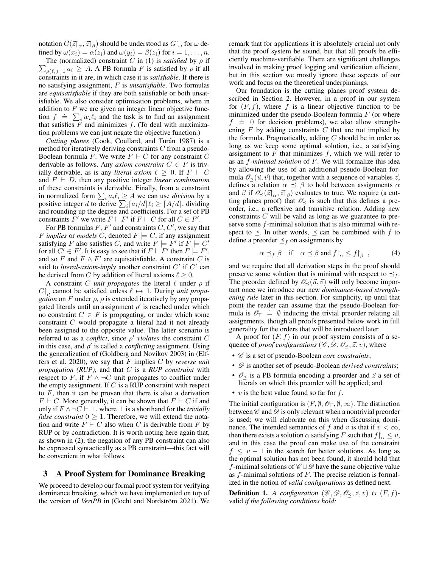notation  $G(\vec{z}|_{\alpha}, \vec{z}|_{\beta})$  should be understood as  $G|_{\omega}$  for  $\omega$  defined by  $\omega(x_i) = \alpha(z_i)$  and  $\omega(y_i) = \beta(z_i)$  for  $i = 1, \ldots, n$ .

 $\sum_{\rho(\ell_i)=1} a_i \geq A$ . A PB formula F is satisfied by  $\rho$  if all The (normalized) constraint C in (1) is *satisfied* by  $\rho$  if constraints in it are, in which case it is *satisfiable*. If there is no satisfying assignment, F is *unsatisfiable*. Two formulas are *equisatisfiable* if they are both satisfiable or both unsatisfiable. We also consider optimisation problems, where in addition to  $F$  we are given an integer linear objective funcdid to find the task is to find an assignment<br>tion  $f = \sum_i w_i \ell_i$  and the task is to find an assignment that satisfies  $F$  and minimizes  $f$ . (To deal with maximization problems we can just negate the objective function.)

*Cutting planes* (Cook, Coullard, and Turán 1987) is a method for iteratively deriving constraints C from a pseudo-Boolean formula F. We write  $F \vdash C$  for any constraint C derivable as follows. Any *axiom constraint*  $C \in F$  is trivially derivable, as is any *literal axiom*  $\ell \geq 0$ . If  $F \vdash C$ and  $F \vdash D$ , then any positive integer *linear combination* of these constraints is derivable. Finally, from a constraint in normalized form  $\sum_i a_i \ell_i \geq A$  we can use *division* by a positive integer d to derive  $\sum_i [a_i/d] \ell_i \geq [A/d]$ , dividing and rounding up the degree and coefficients. For a set of PB constraints  $F'$  we write  $F \vdash F'$  if  $F \vdash C$  for all  $C \in F'$ .

For PB formulas  $F$ ,  $F'$  and constraints  $C$ ,  $C'$ , we say that F *implies* or *models* C, denoted  $F \models C$ , if any assignment satisfying F also satisfies C, and write  $F \models \dot{F}'$  if  $\overline{F} \models C'$ for all  $C' \in F'$ . It is easy to see that if  $F \vdash F'$  then  $F \models F'$ , and so F and  $F \wedge F'$  are equisatisfiable. A constraint C is said to *literal-axiom-imply* another constraint  $C'$  if  $C'$  can be derived from C by addition of literal axioms  $\ell \geq 0$ .

A constraint C *unit propagates* the literal  $\ell$  under  $\rho$  if  $C\vert_{\rho}$  cannot be satisfied unless  $\ell \mapsto 1$ . During *unit propagation* on F under  $\rho$ ,  $\rho$  is extended iteratively by any propagated literals until an assignment  $\rho'$  is reached under which no constraint  $C \in F$  is propagating, or under which some constraint C would propagate a literal had it not already been assigned to the opposite value. The latter scenario is referred to as a *conflict*, since  $\rho'$  *violates* the constraint C in this case, and  $\rho'$  is called a *conflicting* assignment. Using the generalization of (Goldberg and Novikov 2003) in (Elffers et al. 2020), we say that F implies C by *reverse unit propagation (RUP)*, and that C is a *RUP constraint* with respect to F, if  $F \wedge \neg C$  unit propagates to conflict under the empty assignment. If  $C$  is a RUP constraint with respect to  $F$ , then it can be proven that there is also a derivation  $F \vdash C$ . More generally, it can be shown that  $F \vdash C$  if and only if  $F \wedge \neg C \vdash \bot$ , where  $\bot$  is a shorthand for the *trivially false constraint*  $0 \geq 1$ . Therefore, we will extend the notation and write  $F \vdash C$  also when C is derivable from F by RUP or by contradiction. It is worth noting here again that, as shown in (2), the negation of any PB constraint can also be expressed syntactically as a PB constraint—this fact will be convenient in what follows.

# 3 A Proof System for Dominance Breaking

We proceed to develop our formal proof system for verifying dominance breaking, which we have implemented on top of the version of *VeriPB* in (Gocht and Nordström 2021). We remark that for applications it is absolutely crucial not only that the proof system be sound, but that all proofs be efficiently machine-verifiable. There are significant challenges involved in making proof logging and verification efficient, but in this section we mostly ignore these aspects of our work and focus on the theoretical underpinnings.

Our foundation is the cutting planes proof system described in Section 2. However, in a proof in our system for  $(F, f)$ , where f is a linear objective function to be minimized under the pseudo-Boolean formula  $F$  (or where  $f \doteq 0$  for decision problems), we also allow strengthening  $F$  by adding constraints  $C$  that are not implied by the formula. Pragmatically, adding  $C$  should be in order as long as we keep some optimal solution, i.e., a satisfying assignment to  $F$  that minimizes  $f$ , which we will refer to as an f*-minimal solution* of F. We will formalize this idea by allowing the use of an additional pseudo-Boolean formula  $\mathcal{O}_{\prec}(\vec{u}, \vec{v})$  that, together with a sequence of variables  $\vec{z}$ , defines a relation  $\alpha \preceq \beta$  to hold between assignments  $\alpha$ and  $\beta$  if  $\mathcal{O}_{\preceq}(\vec{z}|_{\alpha}, \vec{z}|_{\beta})$  evaluates to true. We require (a cutting planes proof) that  $\mathcal{O}_{\leq}$  is such that this defines a preorder, i.e., a reflexive and transitive relation. Adding new constraints  $C$  will be valid as long as we guarantee to preserve some f-minimal solution that is also minimal with respect to  $\preceq$ . In other words,  $\preceq$  can be combined with f to define a preorder  $\preceq_f$  on assignments by

$$
\alpha \preceq_f \beta \quad \text{if} \quad \alpha \preceq \beta \text{ and } f|_{\alpha} \leq f|_{\beta} \quad , \tag{4}
$$

and we require that all derivation steps in the proof should preserve some solution that is minimal with respect to  $\preceq_f$ . The preorder defined by  $\mathcal{O}_{\prec}(\vec{u}, \vec{v})$  will only become important once we introduce our new *dominance-based strengthening rule* later in this section. For simplicity, up until that point the reader can assume that the pseudo-Boolean forpoint the reader can assume that the pseudo-Boolean formula is  $\mathscr{O}_T = \emptyset$  inducing the trivial preorder relating all assignments, though all proofs presented below work in full generality for the orders that will be introduced later.

A proof for  $(F, f)$  in our proof system consists of a sequence of *proof configurations* ( $\mathscr{C}, \mathscr{D}, \mathscr{O}_{\leq}, \vec{z}, v$ ), where

- C is a set of pseudo-Boolean *core constraints*;
- $\mathscr{D}$  is another set of pseudo-Boolean *derived constraints*;
- $\mathcal{O}_{\prec}$  is a PB formula encoding a preorder and  $\vec{z}$  a set of literals on which this preorder will be applied; and
- v is the best value found so far for  $f$ .

The initial configuration is  $(F, \emptyset, \mathcal{O}_T, \emptyset, \infty)$ . The distinction between  $\mathscr C$  and  $\mathscr D$  is only relevant when a nontrivial preorder is used; we will elaborate on this when discussing dominance. The intended semantics of f and v is that if  $v < \infty$ , then there exists a solution  $\alpha$  satisfying F such that  $f|_{\alpha} \leq v$ , and in this case the proof can make use of the constraint  $f \le v - 1$  in the search for better solutions. As long as the optimal solution has not been found, it should hold that f-minimal solutions of  $\mathscr{C} \cup \mathscr{D}$  have the same objective value as  $f$ -minimal solutions of  $F$ . The precise relation is formalized in the notion of *valid configurations* as defined next.

**Definition 1.** A configuration  $(\mathscr{C}, \mathscr{D}, \mathscr{O}_{\prec}, \vec{z}, v)$  is  $(F, f)$ valid *if the following conditions hold:*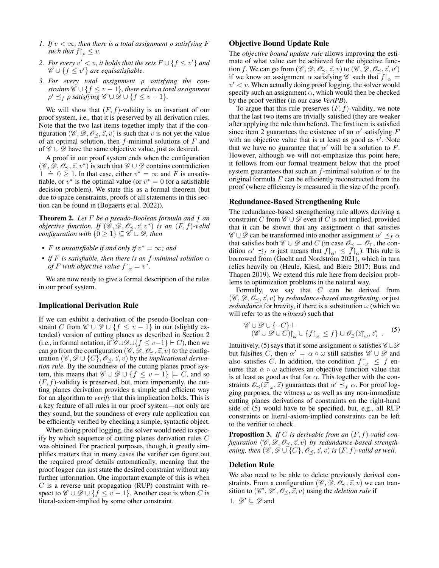- *1. If*  $v < \infty$ *, then there is a total assignment*  $\rho$  *satisfying*  $F$ *such that*  $f \big|_{\rho} \leq v$ *.*
- 2. For every  $v' < v$ , it holds that the sets  $F \cup \{f \leq v'\}$  and  $\mathscr{C} \cup \{f \leq v'\}$  are equisatisfiable.
- *3. For every total assignment* ρ *satisfying the constraints*  $\mathscr{C} \cup \{f \leq v-1\}$ *, there exists a total assignment*  $\rho' \preceq_f \rho$  satisfying  $\mathscr{C} \cup \mathscr{D} \cup \{f \le v-1\}.$

We will show that  $(F, f)$ -validity is an invariant of our proof system, i.e., that it is preserved by all derivation rules. Note that the two last items together imply that if the configuration ( $\mathcal{C}, \mathcal{D}, \mathcal{O}_\prec, \vec{z}, v$ ) is such that v is not yet the value of an optimal solution, then  $f$ -minimal solutions of  $F$  and of  $\mathscr{C} \cup \mathscr{D}$  have the same objective value, just as desired.

A proof in our proof system ends when the configuration  $(\mathscr{C}, \mathscr{D}, \mathscr{O}_{\preceq}, \vec{z}, v^*)$  is such that  $\mathscr{C} \cup \mathscr{D}$  contains contradiction ⊥ .= 0 <sup>≥</sup> <sup>1</sup>. In that case, either <sup>v</sup> <sup>∗</sup> = ∞ and F is unsatisfiable, or  $v^*$  is the optimal value (or  $v^* = 0$  for a satisfiable decision problem). We state this as a formal theorem (but due to space constraints, proofs of all statements in this section can be found in (Bogaerts et al. 2022)).

Theorem 2. *Let* F *be a pseudo-Boolean formula and* f *an objective function. If*  $(\hat{\mathscr{C}}, \mathscr{D}, \mathscr{O}_{\preceq}, \vec{z}, v^*)$  *is an*  $(F, f)$ -valid *configuration with*  $\{0 \geq 1\} \subseteq \overline{C} \cup \mathcal{D}$ , then

- *F* is unsatisfiable if and only if  $v^* = \infty$ ; and
- *if*  $F$  *is satisfiable, then there is an f-minimal solution*  $\alpha$ *of F* with objective value  $f|_{\alpha} = v^*$ .

We are now ready to give a formal description of the rules in our proof system.

#### Implicational Derivation Rule

If we can exhibit a derivation of the pseudo-Boolean constraint C from  $\mathscr{C} \cup \mathscr{D} \cup \{f \leq v-1\}$  in our (slightly extended) version of cutting planes as described in Section 2 (i.e., in formal notation, if  $\mathscr{C} \cup \mathscr{D} \cup \{f \leq v-1\} \vdash C$ ), then we can go from the configuration  $(\mathscr{C}, \mathscr{D}, \mathscr{O}_{\prec}, \vec{z}, v)$  to the configuration  $(\mathscr{C}, \mathscr{D} \cup \{C\}, \mathscr{O}_{\prec}, \vec{z}, v)$  by the *implicational derivation rule*. By the soundness of the cutting planes proof system, this means that  $\mathscr{C} \cup \mathscr{D} \cup \{f \leq v - 1\} \models C$ , and so  $(F, f)$ -validity is preserved, but, more importantly, the cutting planes derivation provides a simple and efficient way for an algorithm to *verify* that this implication holds. This is a key feature of all rules in our proof system—not only are they sound, but the soundness of every rule application can be efficiently verified by checking a simple, syntactic object.

When doing proof logging, the solver would need to specify by which sequence of cutting planes derivation rules C was obtained. For practical purposes, though, it greatly simplifies matters that in many cases the verifier can figure out the required proof details automatically, meaning that the proof logger can just state the desired constraint without any further information. One important example of this is when  $C$  is a reverse unit propagation (RUP) constraint with respect to  $\mathscr{C} \cup \mathscr{D} \cup \{f \leq v - 1\}$ . Another case is when C is literal-axiom-implied by some other constraint.

## Objective Bound Update Rule

The *objective bound update rule* allows improving the estimate of what value can be achieved for the objective function f. We can go from  $(\mathscr{C}, \mathscr{D}, \mathscr{O}_{\preceq}, \vec{z}, v)$  to  $(\mathscr{C}, \mathscr{D}, \mathscr{O}_{\preceq}, \vec{z}, v')$ if we know an assignment  $\alpha$  satisfying  $\mathscr C$  such that  $f|_{\alpha} =$  $v' < v$ . When actually doing proof logging, the solver would specify such an assignment  $\alpha$ , which would then be checked by the proof verifier (in our case *VeriPB*).

To argue that this rule preserves  $(F, f)$ -validity, we note that the last two items are trivially satisfied (they are weaker after applying the rule than before). The first item is satisfied since item 2 guarantees the existence of an  $\alpha'$  satisfying F with an objective value that is at least as good as  $v'$ . Note that we have no guarantee that  $\alpha'$  will be a solution to F. However, although we will not emphasize this point here, it follows from our formal treatment below that the proof system guarantees that such an f-minimal solution  $\alpha'$  to the original formula  $F$  can be efficiently reconstructed from the proof (where efficiency is measured in the size of the proof).

### Redundance-Based Strengthening Rule

The redundance-based strengthening rule allows deriving a constraint C from  $\mathscr{C} \cup \mathscr{D}$  even if C is not implied, provided that it can be shown that any assignment  $\alpha$  that satisfies  $\mathscr{C} \cup \mathscr{D}$  can be transformed into another assignment  $\alpha' \preceq_f \alpha$ that satisfies both  $\mathscr{C} \cup \mathscr{D}$  and C (in case  $\mathscr{O}_{\prec} = \mathscr{O}_{\top}$ , the condition  $\alpha' \preceq_f \alpha$  just means that  $f|_{\alpha'} \leq \overline{f}|_{\alpha}$ ). This rule is borrowed from (Gocht and Nordström 2021), which in turn relies heavily on (Heule, Kiesl, and Biere 2017; Buss and Thapen 2019). We extend this rule here from decision problems to optimization problems in the natural way.

Formally, we say that  $C$  can be derived from  $(\mathscr{C}, \mathscr{D}, \mathscr{O}_{\prec}, \vec{z}, v)$  by *redundance-based strengthening*, or just *redundance* for brevity, if there is a substitution  $\omega$  (which we will refer to as the *witness*) such that

$$
\mathscr{C} \cup \mathscr{D} \cup \{\neg C\} \vdash
$$
  

$$
(\mathscr{C} \cup \mathscr{D} \cup C)|_{\omega} \cup \{f|_{\omega} \leq f\} \cup \mathscr{O}_{\preceq}(\vec{z}|_{\omega}, \vec{z}) .
$$
 (5)

Intuitively, (5) says that if some assignment  $\alpha$  satisfies  $\mathscr{C} \cup \mathscr{D}$ but falsifies C, then  $\alpha' = \alpha \circ \omega$  still satisfies  $\mathscr{C} \cup \mathscr{D}$  and also satisfies C. In addition, the condition  $f|_{\omega} \leq f$  ensures that  $\alpha \circ \omega$  achieves an objective function value that is at least as good as that for  $\alpha$ . This together with the constraints  $\mathcal{O}_{\leq}(\vec{z}|_{\omega}, \vec{z})$  guarantees that  $\alpha' \preceq_f \alpha$ . For proof logging purposes, the witness  $\omega$  as well as any non-immediate cutting planes derivations of constraints on the right-hand side of (5) would have to be specified, but, e.g., all RUP constraints or literal-axiom-implied constraints can be left to the verifier to check.

Proposition 3. *If* C *is derivable from an* (F, f)*-valid configuration*  $(\mathscr{C}, \mathscr{D}, \mathscr{O}_{\leq}, \vec{z}, v)$  *by redundance-based strengthening, then*  $(\mathscr{C}, \mathscr{D} \cup \{C\}, \mathscr{O}_{\prec}, \vec{z}, v)$  *is*  $(F, f)$ *-valid as well.* 

## Deletion Rule

We also need to be able to delete previously derived constraints. From a configuration  $(\mathscr{C}, \mathscr{D}, \mathscr{O}_{\prec}, \vec{z}, v)$  we can transition to  $(\mathscr{C}', \mathscr{D}', \mathscr{O}_{\preceq}, \vec{z}, v)$  using the *deletion rule* if

1.  $\mathscr{D}' \subseteq \mathscr{D}$  and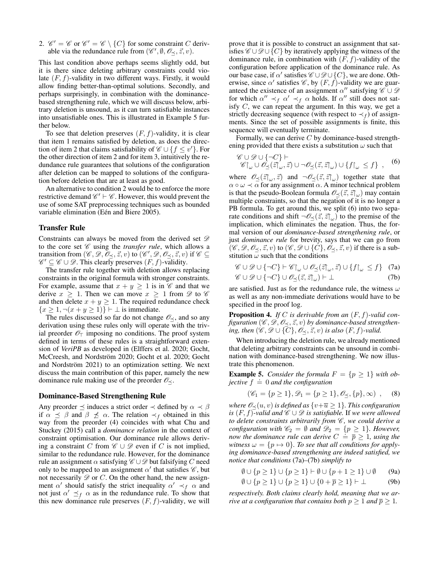2.  $\mathcal{C}' = \mathcal{C}$  or  $\mathcal{C}' = \mathcal{C} \setminus \{C\}$  for some constraint C derivable via the redundance rule from  $(\mathscr{C}', \emptyset, \mathscr{O}_{\preceq}, \vec{z}, v)$ .

This last condition above perhaps seems slightly odd, but it is there since deleting arbitrary constraints could violate  $(F, f)$ -validity in two different ways. Firstly, it would allow finding better-than-optimal solutions. Secondly, and perhaps surprisingly, in combination with the dominancebased strengthening rule, which we will discuss below, arbitrary deletion is unsound, as it can turn satisfiable instances into unsatisfiable ones. This is illustrated in Example 5 further below.

To see that deletion preserves  $(F, f)$ -validity, it is clear that item 1 remains satisfied by deletion, as does the direction of item 2 that claims satisfiability of  $\mathscr{C} \cup \{f \le v'\}$ . For the other direction of item 2 and for item 3, intuitively the redundance rule guarantees that solutions of the configuration after deletion can be mapped to solutions of the configuration before deletion that are at least as good.

An alternative to condition 2 would be to enforce the more restrictive demand  $\mathscr{C}' \vdash \mathscr{C}$ . However, this would prevent the use of some SAT preprocessing techniques such as bounded variable elimination (Eén and Biere 2005).

### Transfer Rule

Constraints can always be moved from the derived set  $\mathscr{D}$ to the core set  $\mathscr C$  using the *transfer rule*, which allows a transition from  $(\mathscr{C}, \mathscr{D}, \overline{\mathscr{O}}_{\preceq}, \vec{z}, v)$  to  $(\mathscr{C}', \mathscr{D}, \mathscr{O}_{\preceq}, \vec{z}, v)$  if  $\mathscr{C} \subseteq$  $\mathscr{C}' \subseteq \mathscr{C} \cup \mathscr{D}$ . This clearly preserves  $(F, f)$ -validity.

The transfer rule together with deletion allows replacing constraints in the original formula with stronger constraints. For example, assume that  $x + y \ge 1$  is in  $\mathscr C$  and that we derive  $x \geq 1$ . Then we can move  $x \geq 1$  from  $\mathscr D$  to  $\mathscr C$ and then delete  $x + y \ge 1$ . The required redundance check  ${x \geq 1, \neg(x + y \geq 1)}$  +  $\perp$  is immediate.

The rules discussed so far do not change  $\mathcal{O}_{\prec}$ , and so any derivation using these rules only will operate with the trivial preorder  $\mathcal{O}_\mathsf{T}$  imposing no conditions. The proof system defined in terms of these rules is a straightforward extension of *VeriPB* as developed in (Elffers et al. 2020; Gocht, McCreesh, and Nordström 2020; Gocht et al. 2020; Gocht and Nordström 2021) to an optimization setting. We next discuss the main contribution of this paper, namely the new dominance rule making use of the preorder  $\mathcal{O}_{\leq}$ .

#### Dominance-Based Strengthening Rule

Any preorder  $\preceq$  induces a strict order  $\prec$  defined by  $\alpha \prec \beta$ if  $\alpha \preceq \beta$  and  $\beta \preceq \alpha$ . The relation  $\prec_f$  obtained in this way from the preorder (4) coincides with what Chu and Stuckey (2015) call a *dominance relation* in the context of constraint optimisation. Our dominance rule allows deriving a constraint C from  $\mathscr{C} \cup \mathscr{D}$  even if C is not implied, similar to the redundance rule. However, for the dominance rule an assignment  $\alpha$  satisfying  $\mathscr{C} \cup \mathscr{D}$  but falsifying C need only to be mapped to an assignment  $\alpha'$  that satisfies  $\mathscr{C}$ , but not necessarily  $\mathscr{D}$  or  $C$ . On the other hand, the new assignment  $\alpha'$  should satisfy the strict inequality  $\alpha' \prec_f \alpha$  and not just  $\alpha' \preceq_f \alpha$  as in the redundance rule. To show that this new dominance rule preserves  $(F, f)$ -validity, we will prove that it is possible to construct an assignment that satisfies  $\mathscr{C} \cup \mathscr{D} \cup \{C\}$  by iteratively applying the witness of the dominance rule, in combination with  $(F, f)$ -validity of the configuration before application of the dominance rule. As our base case, if  $\alpha'$  satisfies  $\mathscr{C}\cup\mathscr{D}\cup\{C\}$ , we are done. Otherwise, since  $\alpha'$  satisfies  $\mathscr{C}$ , by  $(F, f)$ -validity we are guaranteed the existence of an assignment  $\alpha''$  satisfying  $\mathscr{C} \cup \mathscr{D}$ for which  $\alpha'' \prec_f \alpha' \prec_f \alpha$  holds. If  $\alpha''$  still does not satisfy C, we can repeat the argument. In this way, we get a strictly decreasing sequence (with respect to  $\prec_f$ ) of assignments. Since the set of possible assignments is finite, this sequence will eventually terminate.

Formally, we can derive  $C$  by dominance-based strengthening provided that there exists a substitution  $\omega$  such that

$$
\mathcal{C} \cup \mathcal{D} \cup \{\neg C\} \vdash \mathcal{C} \upharpoonright_{\omega} \cup \mathcal{O}_{\preceq}(\vec{z}, \vec{z}) \cup \neg \mathcal{O}_{\preceq}(\vec{z}, \vec{z} \upharpoonright_{\omega}) \cup \{f\upharpoonright_{\omega} \leq f\}, \quad (6)
$$

where  $\mathscr{O}_{\preceq}(\vec{z}|_{\omega}, \vec{z})$  and  $\neg \mathscr{O}_{\preceq}(\vec{z}, \vec{z}|_{\omega})$  together state that  $\alpha \circ \omega \prec \alpha$  for any assignment  $\alpha$ . A minor technical problem is that the pseudo-Boolean formula  $\mathscr{O}_{\leq}(\vec{z}, \vec{z})_{\omega}$  may contain multiple constraints, so that the negation of it is no longer a PB formula. To get around this, we split (6) into two separate conditions and shift  $\neg \mathcal{O}_{\preceq}(\vec{z}, \vec{z})_{\omega}$  to the premise of the implication, which eliminates the negation. Thus, the formal version of our *dominance-based strengthening rule*, or just *dominance rule* for brevity, says that we can go from  $(\mathscr{C}, \mathscr{D}, \mathscr{O}_{\prec}, \vec{z}, v)$  to  $(\mathscr{C}, \mathscr{D} \cup \{C\}, \mathscr{O}_{\prec}, \vec{z}, v)$  if there is a substitution  $\omega$  such that the conditions

$$
\mathscr{C} \cup \mathscr{D} \cup \{\neg C\} \vdash \mathscr{C}|_{\omega} \cup \mathscr{O}_{\preceq}(\vec{z}|_{\omega}, \vec{z}) \cup \{f|_{\omega} \leq f\} \tag{7a}
$$

$$
\mathscr{C} \cup \mathscr{D} \cup \{\neg C\} \cup \mathscr{O}_{\preceq}(\vec{z},\vec{z}\upharpoonright_{\omega}) \vdash \bot \tag{7b}
$$

are satisfied. Just as for the redundance rule, the witness  $\omega$ as well as any non-immediate derivations would have to be specified in the proof log.

Proposition 4. *If* C *is derivable from an* (F, f)*-valid configuration*  $(\mathscr{C}, \mathscr{D}, \mathscr{O}_\prec, \vec{z}, v)$  *by dominance-based strengthening, then*  $(\mathscr{C}, \mathscr{D} \cup \{C\}, \mathscr{O}_{\preceq}, \vec{z}, v)$  *is also*  $(F, f)$ *-valid.* 

When introducing the deletion rule, we already mentioned that deleting arbitrary constraints can be unsound in combination with dominance-based strengthening. We now illustrate this phenomenon.

**Example 5.** *Consider the formula*  $F = \{p \geq 1\}$  *with ob-***Example 5.** Consider the formula is<br>jective  $f \doteq 0$  and the configuration

$$
(\mathscr{C}_1 = \{p \ge 1\}, \mathscr{D}_1 = \{p \ge 1\}, \mathscr{O}_{\preceq}, \{p\}, \infty) , \quad (8)
$$

*where*  $\mathcal{O}_{\leq}(u, v)$  *is defined as*  $\{v + \overline{u} \geq 1\}$ *. This configuration is*  $(F, f)$ -valid and  $\mathscr{C} \cup \mathscr{D}$  *is satisfiable.* If we were allowed *to delete constraints arbitrarily from*  $\mathscr C$ *, we could derive a configuration with*  $\mathcal{C}_2 = \emptyset$  *and*  $\mathcal{D}_2 = \{p \geq 1\}$ *. However, configuration with*  $\omega_2 = \nu$  and  $\omega_2 = \nu \geq 1$ *f. However,*<br>now the dominance rule can derive  $C = \overline{p} \geq 1$ , using the *witness*  $\omega = \{p \mapsto 0\}$ *. To see that all conditions for applying dominance-based strengthening are indeed satisfied, we notice that conditions* (7a)*–*(7b) *simplify to*

$$
\emptyset \cup \{p \ge 1\} \cup \{p \ge 1\} \vdash \emptyset \cup \{p+1 \ge 1\} \cup \emptyset \tag{9a}
$$

$$
\emptyset \cup \{p \ge 1\} \cup \{p \ge 1\} \cup \{0 + \overline{p} \ge 1\} \vdash \bot
$$
 (9b)

*respectively. Both claims clearly hold, meaning that we arrive at a configuration that contains both*  $p \geq 1$  *and*  $\overline{p} \geq 1$ *.*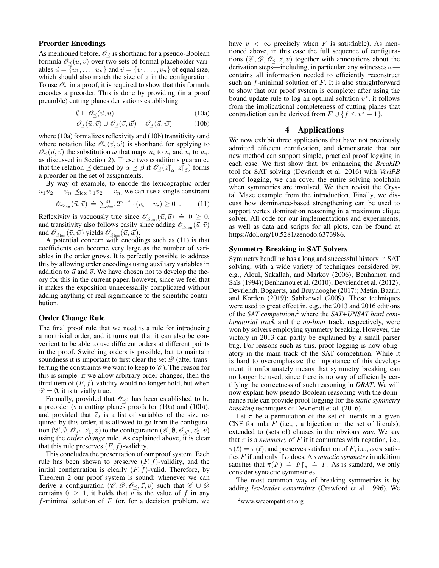## Preorder Encodings

As mentioned before,  $\mathcal{O}_{\prec}$  is shorthand for a pseudo-Boolean formula  $\mathcal{O}_{\prec}(\vec{u}, \vec{v})$  over two sets of formal placeholder variables  $\vec{u} = \{u_1, \ldots, u_n\}$  and  $\vec{v} = \{v_1, \ldots, v_n\}$  of equal size, which should also match the size of  $\vec{z}$  in the configuration. To use  $\mathcal{O}_{\prec}$  in a proof, it is required to show that this formula encodes a preorder. This is done by providing (in a proof preamble) cutting planes derivations establishing

$$
\emptyset \vdash \mathscr{O}_{\preceq}(\vec{u}, \vec{u}) \tag{10a}
$$

$$
\mathcal{O}_{\leq}(\vec{u}, \vec{v}) \cup \mathcal{O}_{\leq}(\vec{v}, \vec{w}) \vdash \mathcal{O}_{\leq}(\vec{u}, \vec{w}) \tag{10b}
$$

where (10a) formalizes reflexivity and (10b) transitivity (and where notation like  $\mathcal{O}_{\prec}(\vec{v}, \vec{w})$  is shorthand for applying to  $\mathscr{O}_{\leq}(\vec{u}, \vec{v})$  the substitution  $\omega$  that maps  $u_i$  to  $v_i$  and  $v_i$  to  $w_i$ , as discussed in Section 2). These two conditions guarantee that the relation  $\preceq$  defined by  $\alpha \preceq \beta$  if  $\mathscr{O}_{\preceq}(\vec{z}|_{\alpha}, \vec{z}|_{\beta})$  forms a preorder on the set of assignments.

By way of example, to encode the lexicographic order  $u_1u_2 \ldots u_n \preceq_{\text{lex}} v_1v_2 \ldots v_n$ , we can use a single constraint

$$
\mathscr{O}_{\leq_{1} \infty}(\vec{u}, \vec{v}) \doteq \sum_{i=1}^{n} 2^{n-i} \cdot (v_i - u_i) \geq 0 \tag{11}
$$

Reflexivity is vacuously true since  $\mathscr{O}_{\leq \text{lex}}(\vec{u}, \vec{u}) \doteq 0 \geq 0$ , and transitivity also follows easily since adding  $\mathscr{O}_{\prec_{\text{lex}}}(\vec{u}, \vec{v})$ and  $\mathscr{O}_{\leq_{\text{lex}}}(\vec{v}, \vec{w})$  yields  $\mathscr{O}_{\leq_{\text{lex}}}(\vec{u}, \vec{w})$ .

A potential concern with encodings such as (11) is that coefficients can become very large as the number of variables in the order grows. It is perfectly possible to address this by allowing order encodings using auxiliary variables in addition to  $\vec{u}$  and  $\vec{v}$ . We have chosen not to develop the theory for this in the current paper, however, since we feel that it makes the exposition unnecessarily complicated without adding anything of real significance to the scientific contribution.

### Order Change Rule

The final proof rule that we need is a rule for introducing a nontrivial order, and it turns out that it can also be convenient to be able to use different orders at different points in the proof. Switching orders is possible, but to maintain soundness it is important to first clear the set  $\mathscr{D}$  (after transferring the constraints we want to keep to  $\mathscr C$ ). The reason for this is simple: if we allow arbitrary order changes, then the third item of  $(F, f)$ -validity would no longer hold, but when  $\mathscr{D} = \emptyset$ , it is trivially true.

Formally, provided that  $\mathcal{O}_{\leq 2}$  has been established to be a preorder (via cutting planes proofs for (10a) and (10b)), and provided that  $\vec{z}_2$  is a list of variables of the size required by this order, it is allowed to go from the configuration  $(\mathscr{C}, \emptyset, \mathscr{O}_{\prec^1}, \vec{z}_1, v)$  to the configuration  $(\mathscr{C}, \emptyset, \mathscr{O}_{\prec^2}, \vec{z}_2, v)$ using the *order change* rule. As explained above, it is clear that this rule preserves  $(F, f)$ -validity.

This concludes the presentation of our proof system. Each rule has been shown to preserve  $(F, f)$ -validity, and the initial configuration is clearly  $(F, f)$ -valid. Therefore, by Theorem 2 our proof system is sound: whenever we can derive a configuration ( $\mathscr{C}, \mathscr{D}, \mathscr{O}_{\prec}, \vec{z}, v$ ) such that  $\mathscr{C} \cup \mathscr{D}$ contains  $0 \geq 1$ , it holds that v is the value of f in any f-minimal solution of  $F$  (or, for a decision problem, we have  $v < \infty$  precisely when F is satisfiable). As mentioned above, in this case the full sequence of configurations  $(\mathscr{C}, \mathscr{D}, \mathscr{O}_{\prec}, \vec{z}, v)$  together with annotations about the derivation steps—including, in particular, any witnesses  $\omega$ contains all information needed to efficiently reconstruct such an  $f$ -minimal solution of  $F$ . It is also straightforward to show that our proof system is complete: after using the bound update rule to log an optimal solution  $v^*$ , it follows from the implicational completeness of cutting planes that contradiction can be derived from  $F \cup \{f \leq v^* - 1\}.$ 

# 4 Applications

We now exhibit three applications that have not previously admitted efficient certification, and demonstrate that our new method can support simple, practical proof logging in each case. We first show that, by enhancing the *BreakID* tool for SAT solving (Devriendt et al. 2016) with *VeriPB* proof logging, we can cover the entire solving toolchain when symmetries are involved. We then revisit the Crystal Maze example from the introduction. Finally, we discuss how dominance-based strengthening can be used to support vertex domination reasoning in a maximum clique solver. All code for our implementations and experiments, as well as data and scripts for all plots, can be found at https://doi.org/10.5281/zenodo.6373986.

## Symmetry Breaking in SAT Solvers

Symmetry handling has a long and successful history in SAT solving, with a wide variety of techniques considered by, e.g., Aloul, Sakallah, and Markov (2006); Benhamou and Saïs (1994); Benhamou et al. (2010); Devriendt et al. (2012); Devriendt, Bogaerts, and Bruynooghe (2017); Metin, Baarir, and Kordon (2019); Sabharwal (2009). These techniques were used to great effect in, e.g., the 2013 and 2016 editions of the *SAT competition*, <sup>2</sup> where the *SAT+UNSAT hard combinatorial track* and the *no-limit* track, respectively, were won by solvers employing symmetry breaking. However, the victory in 2013 can partly be explained by a small parser bug. For reasons such as this, proof logging is now obligatory in the main track of the SAT competition. While it is hard to overemphasize the importance of this development, it unfortunately means that symmetry breaking can no longer be used, since there is no way of efficiently certifying the correctness of such reasoning in *DRAT*. We will now explain how pseudo-Boolean reasoning with the dominance rule can provide proof logging for the *static symmetry breaking* techniques of Devriendt et al. (2016).

Let  $\pi$  be a permutation of the set of literals in a given CNF formula  $F$  (i.e., , a bijection on the set of literals), extended to (sets of) clauses in the obvious way. We say that  $\pi$  is a *symmetry* of F if it commutes with negation, i.e.,  $\pi(\ell) = \pi(\ell)$ , and preserves satisfaction of F, i.e.,  $\alpha \circ \pi$  satisfies  $F$  if and only if  $\alpha$  does. A *syntactic symmetry* in addition satisfies that  $\pi(F) = F|_{\pi} = F$ . As is standard, we only consider syntactic symmetries.

The most common way of breaking symmetries is by adding *lex-leader constraints* (Crawford et al. 1996). We

<sup>&</sup>lt;sup>2</sup>www.satcompetition.org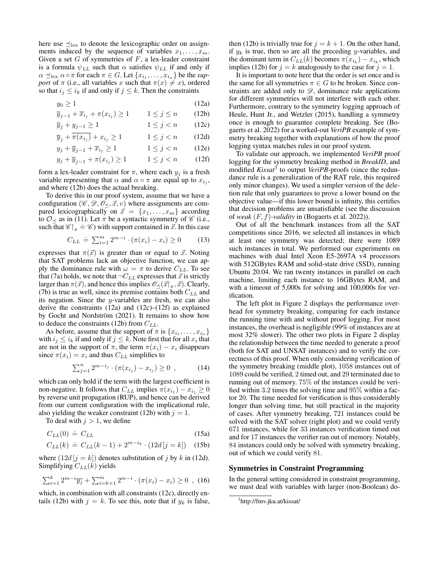here use  $\preceq_{\text{lex}}$  to denote the lexicographic order on assignments induced by the sequence of variables  $x_1, \ldots, x_m$ . Given a set  $G$  of symmetries of  $F$ , a lex-leader constraint is a formula  $\psi_{LL}$  such that  $\alpha$  satisfies  $\psi_{LL}$  if and only if  $\alpha \preceq_{\text{lex}} \alpha \circ \pi$  for each  $\pi \in G$ . Let  $\{x_{i_1}, \dots, x_{i_n}\}$  be the *support* of  $\pi$  (i.e., all variables x such that  $\pi(x) \neq x$ ), ordered so that  $i_j \leq i_k$  if and only if  $j \leq k$ . Then the constraints

$$
y_0 \ge 1\tag{12a}
$$
\n
$$
y_0 \ge 1\tag{12b}
$$

$$
\overline{y}_{j-1} + \overline{x}_{i_j} + \pi(x_{i_j}) \ge 1 \qquad 1 \le j \le n \qquad (12b)
$$

$$
\overline{y}_j + y_{j-1} \ge 1 \qquad \qquad 1 \le j < n \qquad (12c)
$$

$$
\overline{y}_j + \pi(x_{i_j}) + x_{i_j} \ge 1 \qquad \qquad 1 \le j < n \qquad (12d)
$$

$$
y_j + \overline{y}_{j-1} + \overline{x}_{i_j} \ge 1 \qquad \qquad 1 \le j < n \qquad (12e)
$$

$$
y_j + \overline{y}_{j-1} + \pi(x_{i_j}) \ge 1 \qquad 1 \le j < n \qquad (12f)
$$

form a lex-leader constraint for  $\pi$ , where each  $y_j$  is a fresh variable representing that  $\alpha$  and  $\alpha \circ \pi$  are equal up to  $x_{i_j}$ , and where (12b) does the actual breaking.

To derive this in our proof system, assume that we have a configuration  $(\mathscr{C}, \mathscr{D}, \mathscr{O}_{\prec}, \vec{x}, v)$  where assignments are compared lexicographically on  $\vec{x} = \{x_1, \ldots, x_m\}$  according to  $\mathcal{O}_{\prec}$  as in (11). Let  $\pi$  be a syntactic symmetry of  $\mathscr C$  (i.e., such that  $\mathscr{C}|_{\pi} \doteq \mathscr{C}$  with support contained in  $\vec{x}$ . In this case

$$
C_{LL} \doteq \sum_{i=1}^{m} 2^{m-i} \cdot (\pi(x_i) - x_i) \ge 0 \tag{13}
$$

expresses that  $\pi(\vec{x})$  is greater than or equal to  $\vec{x}$ . Noting that SAT problems lack an objective function, we can apply the dominance rule with  $\omega = \pi$  to derive  $C_{LL}$ . To see that (7a) holds, we note that  $\neg C_{LL}$  expresses that  $\vec{x}$  is strictly larger than  $\pi(\vec{x})$ , and hence this implies  $\mathscr{O}_{\preceq}(\vec{x}|_{\pi}, \vec{x})$ . Clearly, (7b) is true as well, since its premise contains both  $C_{LL}$  and its negation. Since the y-variables are fresh, we can also derive the constraints  $(12a)$  and  $(12c)–(12f)$  as explained by Gocht and Nordström (2021). It remains to show how to deduce the constraints (12b) from  $C_{LL}$ .

As before, assume that the support of  $\pi$  is  $\{x_{i_1}, \ldots, x_{i_n}\}$ with  $i_j \leq i_k$  if and only if  $j \leq k$ . Note first that for all  $x_i$  that are not in the support of  $\pi$ , the term  $\pi(x_i) - x_i$  disappears since  $\pi(x_i) = x_i$  and thus  $C_{LL}$  simplifies to

$$
\sum_{j=1}^{n} 2^{m-i_j} \cdot (\pi(x_{i_j}) - x_{i_j}) \ge 0 , \qquad (14)
$$

which can only hold if the term with the largest coefficient is non-negative. It follows that  $C_{LL}$  implies  $\pi(x_{i_1}) - x_{i_1} \ge 0$ by reverse unit propagation (RUP), and hence can be derived from our current configuration with the implicational rule, also yielding the weaker constraint (12b) with  $j = 1$ .

To deal with  $j > 1$ , we define

$$
C_{LL}(0) \doteq C_{LL} \tag{15a}
$$

$$
C_{LL}(k) \doteq C_{LL}(k-1) + 2^{m-i_k} \cdot (12d[j=k]) \quad (15b)
$$

where  $(12d | j = k)$  denotes substitution of j by k in (12d). Simplifying  $C_{LL}(\hat{k})$  yields

$$
\sum_{i=1}^{k} 2^{m-i} \overline{y_j} + \sum_{i=k+1}^{m} 2^{m-i} \cdot (\pi(x_i) - x_i) \ge 0 \quad , \quad (16)
$$

which, in combination with all constraints (12c), directly entails (12b) with  $j = k$ . To see this, note that if  $y_k$  is false,

then (12b) is trivially true for  $j = k + 1$ . On the other hand, if  $y_k$  is true, then so are all the preceding y-variables, and the dominant term in  $C_{LL}(k)$  becomes  $\pi(x_{i_k}) - x_{i_k}$ , which implies (12b) for  $j = k$  analogously to the case for  $j = 1$ .

It is important to note here that the order is set once and is the same for all symmetries  $\pi \in G$  to be broken. Since constraints are added only to  $\mathscr{D}$ , dominance rule applications for different symmetries will not interfere with each other. Furthermore, contrary to the symmetry logging approach of Heule, Hunt Jr., and Wetzler (2015), handling a symmetry once is enough to guarantee complete breaking. See (Bogaerts et al. 2022) for a worked-out *VeriPB* example of symmetry breaking together with explanations of how the proof logging syntax matches rules in our proof system.

To validate our approach, we implemented *VeriPB* proof logging for the symmetry breaking method in *BreakID*, and modified *Kissat*<sup>3</sup> to output *VeriPB*-proofs (since the redundance rule is a generalization of the RAT rule, this required only minor changes). We used a simpler version of the deletion rule that only guarantees to prove a lower bound on the objective value—if this lower bound is infinity, this certifies that decision problems are unsatisfiable (see the discussion of *weak* (F, f)*-validity* in (Bogaerts et al. 2022)).

Out of all the benchmark instances from all the SAT competitions since 2016, we selected all instances in which at least one symmetry was detected; there were 1089 such instances in total. We performed our experiments on machines with dual Intel Xeon E5-2697A v4 processors with 512GBytes RAM and solid-state drive (SSD), running Ubuntu 20.04. We ran twenty instances in parallel on each machine, limiting each instance to 16GBytes RAM, and with a timeout of 5,000s for solving and 100,000s for verification.

The left plot in Figure 2 displays the performance overhead for symmetry breaking, comparing for each instance the running time with and without proof logging. For most instances, the overhead is negligible (99% of instances are at most 32% slower). The other two plots in Figure 2 display the relationship between the time needed to generate a proof (both for SAT and UNSAT instances) and to verify the correctness of this proof. When only considering verification of the symmetry breaking (middle plot), 1058 instances out of 1089 could be verified, 2 timed out, and 29 terminated due to running out of memory. 75% of the instances could be verified within 3.2 times the solving time and 95% within a factor 20. The time needed for verification is thus considerably longer than solving time, but still practical in the majority of cases. After symmetry breaking, 721 instances could be solved with the SAT solver (right plot) and we could verify 671 instances, while for 33 instances verification timed out and for 17 instances the verifier ran out of memory. Notably, 84 instances could only be solved with symmetry breaking, out of which we could verify 81.

### Symmetries in Constraint Programming

In the general setting considered in constraint programming, we must deal with variables with larger (non-Boolean) do-

<sup>&</sup>lt;sup>3</sup>http://fmv.jku.at/kissat/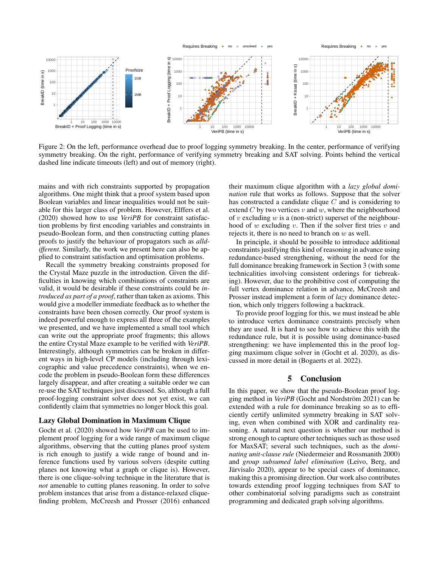

Figure 2: On the left, performance overhead due to proof logging symmetry breaking. In the center, performance of verifying symmetry breaking. On the right, performance of verifying symmetry breaking and SAT solving. Points behind the vertical dashed line indicate timeouts (left) and out of memory (right).

mains and with rich constraints supported by propagation algorithms. One might think that a proof system based upon Boolean variables and linear inequalities would not be suitable for this larger class of problem. However, Elffers et al. (2020) showed how to use *VeriPB* for constraint satisfaction problems by first encoding variables and constraints in pseudo-Boolean form, and then constructing cutting planes proofs to justify the behaviour of propagators such as *alldifferent*. Similarly, the work we present here can also be applied to constraint satisfaction and optimisation problems.

Recall the symmetry breaking constraints proposed for the Crystal Maze puzzle in the introduction. Given the difficulties in knowing which combinations of constraints are valid, it would be desirable if these constraints could be *introduced as part of a proof*, rather than taken as axioms. This would give a modeller immediate feedback as to whether the constraints have been chosen correctly. Our proof system is indeed powerful enough to express all three of the examples we presented, and we have implemented a small tool which can write out the appropriate proof fragments; this allows the entire Crystal Maze example to be verified with *VeriPB*. Interestingly, although symmetries can be broken in different ways in high-level CP models (including through lexicographic and value precedence constraints), when we encode the problem in pseudo-Boolean form these differences largely disappear, and after creating a suitable order we can re-use the SAT techniques just discussed. So, although a full proof-logging constraint solver does not yet exist, we can confidently claim that symmetries no longer block this goal.

## Lazy Global Domination in Maximum Clique

Gocht et al. (2020) showed how *VeriPB* can be used to implement proof logging for a wide range of maximum clique algorithms, observing that the cutting planes proof system is rich enough to justify a wide range of bound and inference functions used by various solvers (despite cutting planes not knowing what a graph or clique is). However, there is one clique-solving technique in the literature that is *not* amenable to cutting planes reasoning. In order to solve problem instances that arise from a distance-relaxed cliquefinding problem, McCreesh and Prosser (2016) enhanced

their maximum clique algorithm with a *lazy global domination* rule that works as follows. Suppose that the solver has constructed a candidate clique  $C$  and is considering to extend  $C$  by two vertices  $v$  and  $w$ , where the neighbourhood of v excluding w is a (non-strict) superset of the neighbourhood of  $w$  excluding  $v$ . Then if the solver first tries  $v$  and rejects it, there is no need to branch on  $w$  as well.

In principle, it should be possible to introduce additional constraints justifying this kind of reasoning in advance using redundance-based strengthening, without the need for the full dominance breaking framework in Section 3 (with some technicalities involving consistent orderings for tiebreaking). However, due to the prohibitive cost of computing the full vertex dominance relation in advance, McCreesh and Prosser instead implement a form of *lazy* dominance detection, which only triggers following a backtrack.

To provide proof logging for this, we must instead be able to introduce vertex dominance constraints precisely when they are used. It is hard to see how to achieve this with the redundance rule, but it is possible using dominance-based strengthening: we have implemented this in the proof logging maximum clique solver in (Gocht et al. 2020), as discussed in more detail in (Bogaerts et al. 2022).

## 5 Conclusion

In this paper, we show that the pseudo-Boolean proof logging method in *VeriPB* (Gocht and Nordström 2021) can be extended with a rule for dominance breaking so as to efficiently certify unlimited symmetry breaking in SAT solving, even when combined with XOR and cardinality reasoning. A natural next question is whether our method is strong enough to capture other techniques such as those used for MaxSAT; several such techniques, such as the *dominating unit-clause rule* (Niedermeier and Rossmanith 2000) and *group subsumed label elimination* (Leivo, Berg, and Järvisalo 2020), appear to be special cases of dominance, making this a promising direction. Our work also contributes towards extending proof logging techniques from SAT to other combinatorial solving paradigms such as constraint programming and dedicated graph solving algorithms.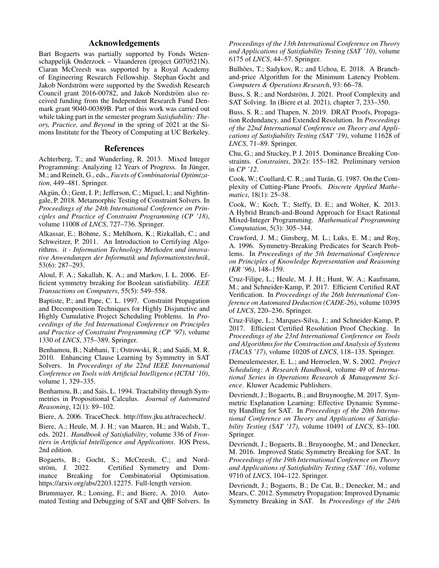# Acknowledgements

Bart Bogaerts was partially supported by Fonds Wetenschappelijk Onderzoek – Vlaanderen (project G070521N). Ciaran McCreesh was supported by a Royal Academy of Engineering Research Fellowship. Stephan Gocht and Jakob Nordström were supported by the Swedish Research Council grant 2016-00782, and Jakob Nordström also received funding from the Independent Research Fund Denmark grant 9040-00389B. Part of this work was carried out while taking part in the semester program *Satisfiability: Theory, Practice, and Beyond* in the spring of 2021 at the Simons Institute for the Theory of Computing at UC Berkeley.

## References

Achterberg, T.; and Wunderling, R. 2013. Mixed Integer Programming: Analyzing 12 Years of Progress. In Jünger, M.; and Reinelt, G., eds., *Facets of Combinatorial Optimization*, 449–481. Springer.

Akgün, Ö.; Gent, I. P.; Jefferson, C.; Miguel, I.; and Nightingale, P. 2018. Metamorphic Testing of Constraint Solvers. In *Proceedings of the 24th International Conference on Principles and Practice of Constraint Programming (CP '18)*, volume 11008 of *LNCS*, 727–736. Springer.

Alkassar, E.; Böhme, S.; Mehlhorn, K.; Rizkallah, C.; and Schweitzer, P. 2011. An Introduction to Certifying Algorithms. *it - Information Technology Methoden und innovative Anwendungen der Informatik und Informationstechnik*, 53(6): 287–293.

Aloul, F. A.; Sakallah, K. A.; and Markov, I. L. 2006. Efficient symmetry breaking for Boolean satisfiability. *IEEE Transactions on Computers*, 55(5): 549–558.

Baptiste, P.; and Pape, C. L. 1997. Constraint Propagation and Decomposition Techniques for Highly Disjunctive and Highly Cumulative Project Scheduling Problems. In *Proceedings of the 3rd International Conference on Principles and Practice of Constraint Programming (CP '97)*, volume 1330 of *LNCS*, 375–389. Springer.

Benhamou, B.; Nabhani, T.; Ostrowski, R.; and Saïdi, M. R. 2010. Enhancing Clause Learning by Symmetry in SAT Solvers. In *Proceedings of the 22nd IEEE International Conference on Tools with Artificial Intelligence (ICTAI '10)*, volume 1, 329–335.

Benhamou, B.; and Saïs, L. 1994. Tractability through Symmetries in Propositional Calculus. *Journal of Automated Reasoning*, 12(1): 89–102.

Biere, A. 2006. TraceCheck. http://fmv.jku.at/tracecheck/.

Biere, A.; Heule, M. J. H.; van Maaren, H.; and Walsh, T., eds. 2021. *Handbook of Satisfiability*, volume 336 of *Frontiers in Artificial Intelligence and Applications*. IOS Press, 2nd edition.

Bogaerts, B.; Gocht, S.; McCreesh, C.; and Nord-<br>ström, J. 2022. Certified Symmetry and Domström, J. 2022. Certified Symmetry and Dom-<br>
inance Breaking for Combinatorial Optimisation. Combinatorial Optimisation. https://arxiv.org/abs/2203.12275. Full-length version.

Brummayer, R.; Lonsing, F.; and Biere, A. 2010. Automated Testing and Debugging of SAT and QBF Solvers. In *Proceedings of the 13th International Conference on Theory and Applications of Satisfiability Testing (SAT '10)*, volume 6175 of *LNCS*, 44–57. Springer.

Bulhões, T.; Sadykov, R.; and Uchoa, E. 2018. A Branchand-price Algorithm for the Minimum Latency Problem. *Computers & Operations Research*, 93: 66–78.

Buss, S. R.; and Nordström, J. 2021. Proof Complexity and SAT Solving. In (Biere et al. 2021), chapter 7, 233–350.

Buss, S. R.; and Thapen, N. 2019. DRAT Proofs, Propagation Redundancy, and Extended Resolution. In *Proceedings of the 22nd International Conference on Theory and Applications of Satisfiability Testing (SAT '19)*, volume 11628 of *LNCS*, 71–89. Springer.

Chu, G.; and Stuckey, P. J. 2015. Dominance Breaking Constraints. *Constraints*, 20(2): 155–182. Preliminary version in *CP '12*.

Cook, W.; Coullard, C. R.; and Turán, G. 1987. On the Complexity of Cutting-Plane Proofs. *Discrete Applied Mathematics*, 18(1): 25–38.

Cook, W.; Koch, T.; Steffy, D. E.; and Wolter, K. 2013. A Hybrid Branch-and-Bound Approach for Exact Rational Mixed-Integer Programming. *Mathematical Programming Computation*, 5(3): 305–344.

Crawford, J. M.; Ginsberg, M. L.; Luks, E. M.; and Roy, A. 1996. Symmetry-Breaking Predicates for Search Problems. In *Proceedings of the 5th International Conference on Principles of Knowledge Representation and Reasoning (KR '96)*, 148–159.

Cruz-Filipe, L.; Heule, M. J. H.; Hunt, W. A.; Kaufmann, M.; and Schneider-Kamp, P. 2017. Efficient Certified RAT Verification. In *Proceedings of the 26th International Conference on Automated Deduction (CADE-26)*, volume 10395 of *LNCS*, 220–236. Springer.

Cruz-Filipe, L.; Marques-Silva, J.; and Schneider-Kamp, P. 2017. Efficient Certified Resolution Proof Checking. In *Proceedings of the 23rd International Conference on Tools and Algorithms for the Construction and Analysis of Systems (TACAS '17)*, volume 10205 of *LNCS*, 118–135. Springer.

Demeulemeester, E. L.; and Herroelen, W. S. 2002. *Project Scheduling: A Research Handbook*, volume 49 of *International Series in Operations Research & Management Science*. Kluwer Academic Publishers.

Devriendt, J.; Bogaerts, B.; and Bruynooghe, M. 2017. Symmetric Explanation Learning: Effective Dynamic Symmetry Handling for SAT. In *Proceedings of the 20th International Conference on Theory and Applications of Satisfiability Testing (SAT '17)*, volume 10491 of *LNCS*, 83–100. Springer.

Devriendt, J.; Bogaerts, B.; Bruynooghe, M.; and Denecker, M. 2016. Improved Static Symmetry Breaking for SAT. In *Proceedings of the 19th International Conference on Theory and Applications of Satisfiability Testing (SAT '16)*, volume 9710 of *LNCS*, 104–122. Springer.

Devriendt, J.; Bogaerts, B.; De Cat, B.; Denecker, M.; and Mears, C. 2012. Symmetry Propagation: Improved Dynamic Symmetry Breaking in SAT. In *Proceedings of the 24th*